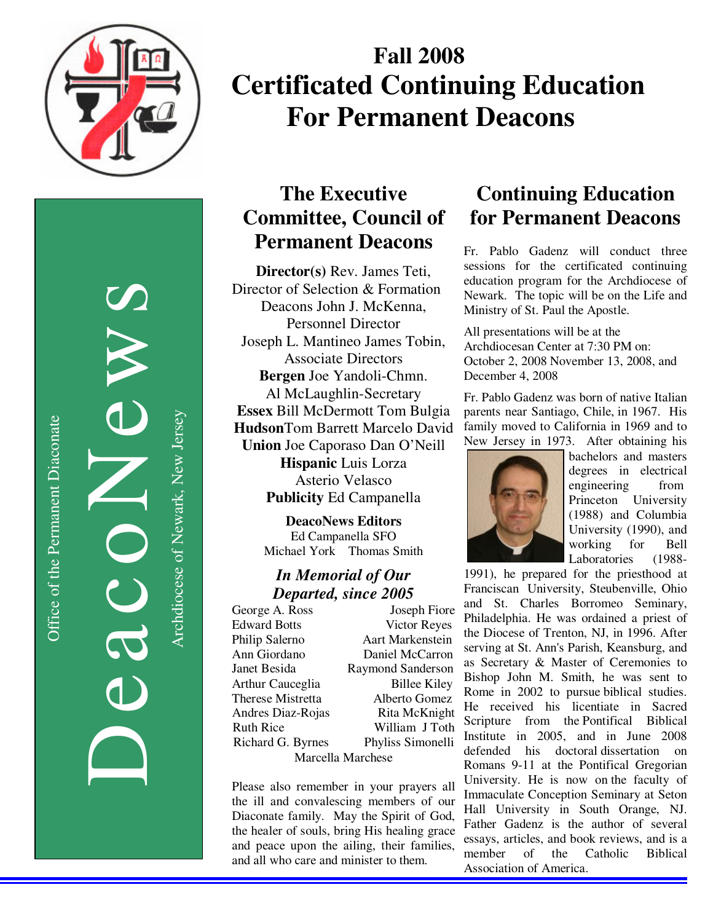

Office of the Permanent Diaconate Office of the Permanent Diaconate

DeacoNews News NES Archdiocese of Newark, New Jersey Archdiocese of Newark, New Jersey

# **Fall 2008 Certificated Continuing Education For Permanent Deacons**

## **The Executive Committee, Council of Permanent Deacons**

**Director(s)** Rev. James Teti, Director of Selection & Formation Deacons John J. McKenna, Personnel Director Joseph L. Mantineo James Tobin, Associate Directors **Bergen** Joe Yandoli-Chmn. Al McLaughlin-Secretary **Essex** Bill McDermott Tom Bulgia **Hudson**Tom Barrett Marcelo David **Union** Joe Caporaso Dan O'Neill **Hispanic** Luis Lorza Asterio Velasco **Publicity** Ed Campanella

> **DeacoNews Editors**  Ed Campanella SFO Michael York Thomas Smith

#### *In Memorial of Our Departed, since 2005*

George A. Ross Joseph Fiore Edward Botts Victor Reyes Philip Salerno Aart Markenstein Ann Giordano Daniel McCarron Janet Besida Raymond Sanderson Arthur Cauceglia Billee Kiley Therese Mistretta Alberto Gomez Andres Diaz-Rojas Rita McKnight Ruth Rice William J Toth Richard G. Byrnes Phyliss Simonelli Marcella Marchese

Please also remember in your prayers all the ill and convalescing members of our Diaconate family. May the Spirit of God, the healer of souls, bring His healing grace and peace upon the ailing, their families, and all who care and minister to them.

## **Continuing Education for Permanent Deacons**

Fr. Pablo Gadenz will conduct three sessions for the certificated continuing education program for the Archdiocese of Newark. The topic will be on the Life and Ministry of St. Paul the Apostle.

All presentations will be at the Archdiocesan Center at 7:30 PM on: October 2, 2008 November 13, 2008, and December 4, 2008

Fr. Pablo Gadenz was born of native Italian parents near Santiago, Chile, in 1967. His family moved to California in 1969 and to New Jersey in 1973. After obtaining his



bachelors and masters degrees in electrical engineering from Princeton University (1988) and Columbia University (1990), and working for Bell Laboratories (1988-

1991), he prepared for the priesthood at Franciscan University, Steubenville, Ohio and St. Charles Borromeo Seminary, Philadelphia. He was ordained a priest of the Diocese of Trenton, NJ, in 1996. After serving at St. Ann's Parish, Keansburg, and as Secretary & Master of Ceremonies to Bishop John M. Smith, he was sent to Rome in 2002 to pursue biblical studies. He received his licentiate in Sacred Scripture from the Pontifical Biblical Institute in 2005, and in June 2008 defended his doctoral dissertation on Romans 9-11 at the Pontifical Gregorian University. He is now on the faculty of Immaculate Conception Seminary at Seton Hall University in South Orange, NJ. Father Gadenz is the author of several essays, articles, and book reviews, and is a member of the Catholic Biblical Association of America.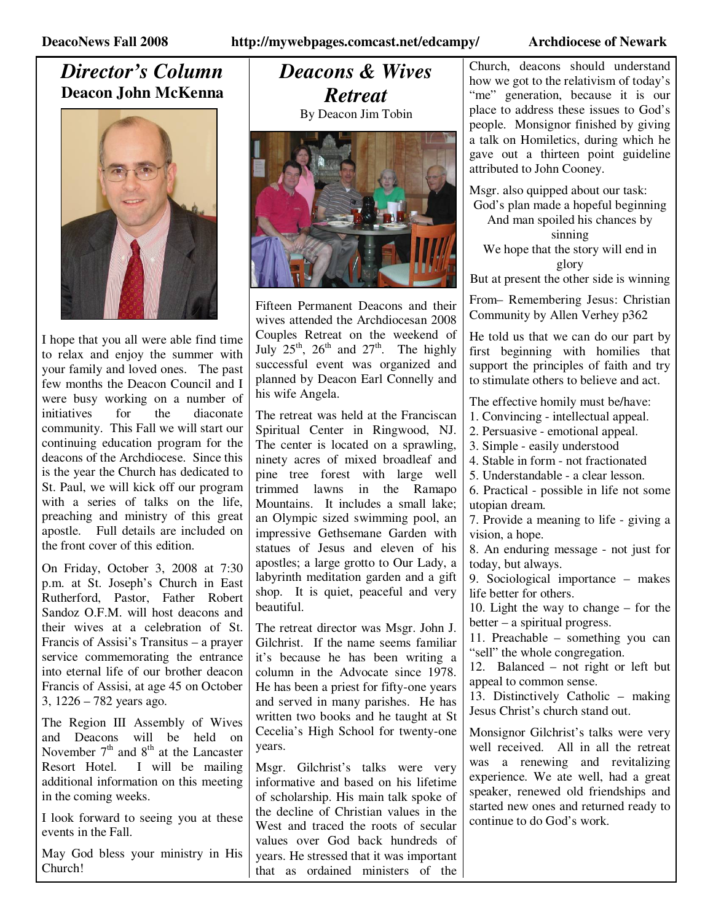#### *Director's Column*  **Deacon John McKenna**



I hope that you all were able find time to relax and enjoy the summer with your family and loved ones. The past few months the Deacon Council and I were busy working on a number of initiatives for the diaconate community. This Fall we will start our continuing education program for the deacons of the Archdiocese. Since this is the year the Church has dedicated to St. Paul, we will kick off our program with a series of talks on the life, preaching and ministry of this great apostle. Full details are included on the front cover of this edition.

On Friday, October 3, 2008 at 7:30 p.m. at St. Joseph's Church in East Rutherford, Pastor, Father Robert Sandoz O.F.M. will host deacons and their wives at a celebration of St. Francis of Assisi's Transitus – a prayer service commemorating the entrance into eternal life of our brother deacon Francis of Assisi, at age 45 on October 3, 1226 – 782 years ago.

The Region III Assembly of Wives and Deacons will be held on November  $7<sup>th</sup>$  and  $8<sup>th</sup>$  at the Lancaster Resort Hotel. I will be mailing additional information on this meeting in the coming weeks.

I look forward to seeing you at these events in the Fall.

May God bless your ministry in His Church!

## *Deacons & Wives Retreat*

By Deacon Jim Tobin



Fifteen Permanent Deacons and their wives attended the Archdiocesan 2008 Couples Retreat on the weekend of July  $25^{th}$ ,  $26^{th}$  and  $27^{th}$ . The highly successful event was organized and planned by Deacon Earl Connelly and his wife Angela.

The retreat was held at the Franciscan Spiritual Center in Ringwood, NJ. The center is located on a sprawling, ninety acres of mixed broadleaf and pine tree forest with large well trimmed lawns in the Ramapo Mountains. It includes a small lake; an Olympic sized swimming pool, an impressive Gethsemane Garden with statues of Jesus and eleven of his apostles; a large grotto to Our Lady, a labyrinth meditation garden and a gift shop. It is quiet, peaceful and very beautiful.

The retreat director was Msgr. John J. Gilchrist. If the name seems familiar it's because he has been writing a column in the Advocate since 1978. He has been a priest for fifty-one years and served in many parishes. He has written two books and he taught at St Cecelia's High School for twenty-one years.

Msgr. Gilchrist's talks were very informative and based on his lifetime of scholarship. His main talk spoke of the decline of Christian values in the West and traced the roots of secular values over God back hundreds of years. He stressed that it was important that as ordained ministers of the

Church, deacons should understand how we got to the relativism of today's "me" generation, because it is our place to address these issues to God's people. Monsignor finished by giving a talk on Homiletics, during which he gave out a thirteen point guideline attributed to John Cooney.

Msgr. also quipped about our task: God's plan made a hopeful beginning And man spoiled his chances by sinning We hope that the story will end in glory

But at present the other side is winning

From– Remembering Jesus: Christian Community by Allen Verhey p362

He told us that we can do our part by first beginning with homilies that support the principles of faith and try to stimulate others to believe and act.

The effective homily must be/have:

1. Convincing - intellectual appeal.

2. Persuasive - emotional appeal.

3. Simple - easily understood

4. Stable in form - not fractionated

5. Understandable - a clear lesson.

6. Practical - possible in life not some utopian dream.

7. Provide a meaning to life - giving a vision, a hope.

8. An enduring message - not just for today, but always.

9. Sociological importance – makes life better for others.

10. Light the way to change – for the better – a spiritual progress.

11. Preachable – something you can "sell" the whole congregation.

12. Balanced – not right or left but appeal to common sense.

13. Distinctively Catholic – making Jesus Christ's church stand out.

Monsignor Gilchrist's talks were very well received. All in all the retreat was a renewing and revitalizing experience. We ate well, had a great speaker, renewed old friendships and started new ones and returned ready to continue to do God's work.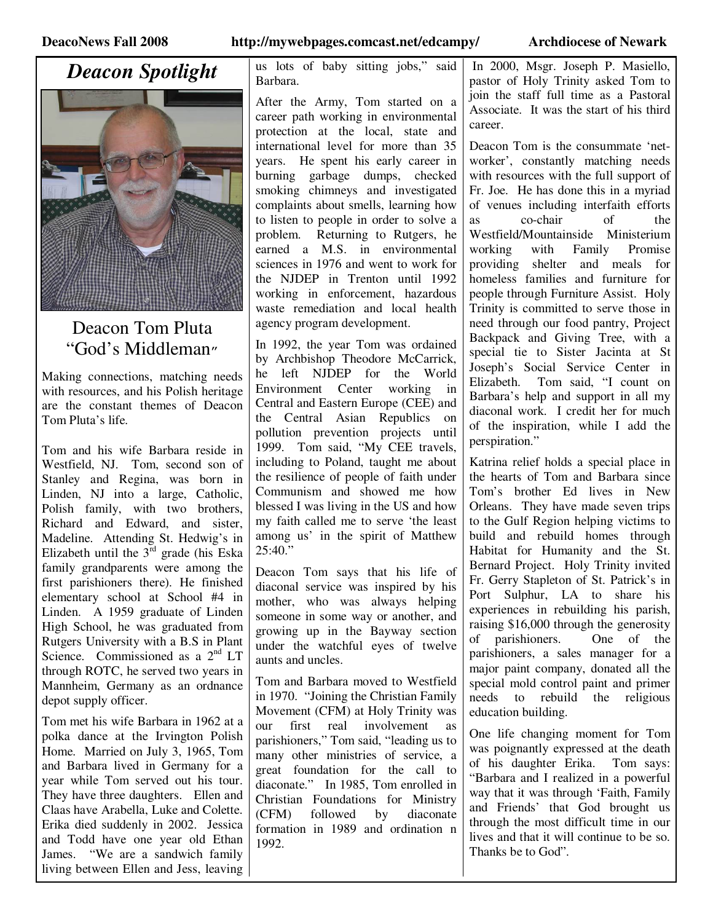## *Deacon Spotlight*



### Deacon Tom Pluta "God's Middleman"

Making connections, matching needs with resources, and his Polish heritage are the constant themes of Deacon Tom Pluta's life.

Tom and his wife Barbara reside in Westfield, NJ. Tom, second son of Stanley and Regina, was born in Linden, NJ into a large, Catholic, Polish family, with two brothers, Richard and Edward, and sister, Madeline. Attending St. Hedwig's in Elizabeth until the  $3<sup>rd</sup>$  grade (his Eska family grandparents were among the first parishioners there). He finished elementary school at School #4 in Linden. A 1959 graduate of Linden High School, he was graduated from Rutgers University with a B.S in Plant Science. Commissioned as a 2<sup>nd</sup> LT through ROTC, he served two years in Mannheim, Germany as an ordnance depot supply officer.

Tom met his wife Barbara in 1962 at a polka dance at the Irvington Polish Home. Married on July 3, 1965, Tom and Barbara lived in Germany for a year while Tom served out his tour. They have three daughters. Ellen and Claas have Arabella, Luke and Colette. Erika died suddenly in 2002. Jessica and Todd have one year old Ethan James. "We are a sandwich family living between Ellen and Jess, leaving us lots of baby sitting jobs," said Barbara.

After the Army, Tom started on a career path working in environmental protection at the local, state and international level for more than 35 years. He spent his early career in burning garbage dumps, checked smoking chimneys and investigated complaints about smells, learning how to listen to people in order to solve a problem. Returning to Rutgers, he earned a M.S. in environmental sciences in 1976 and went to work for the NJDEP in Trenton until 1992 working in enforcement, hazardous waste remediation and local health agency program development.

In 1992, the year Tom was ordained by Archbishop Theodore McCarrick, he left NJDEP for the World Environment Center working in Central and Eastern Europe (CEE) and the Central Asian Republics on pollution prevention projects until 1999. Tom said, "My CEE travels, including to Poland, taught me about the resilience of people of faith under Communism and showed me how blessed I was living in the US and how my faith called me to serve 'the least among us' in the spirit of Matthew  $25:40."$ 

Deacon Tom says that his life of diaconal service was inspired by his mother, who was always helping someone in some way or another, and growing up in the Bayway section under the watchful eyes of twelve aunts and uncles.

Tom and Barbara moved to Westfield in 1970. "Joining the Christian Family Movement (CFM) at Holy Trinity was our first real involvement as parishioners," Tom said, "leading us to many other ministries of service, a great foundation for the call to diaconate." In 1985, Tom enrolled in Christian Foundations for Ministry<br>(CFM) followed by diaconate (CFM) followed by diaconate formation in 1989 and ordination n 1992.

 In 2000, Msgr. Joseph P. Masiello, pastor of Holy Trinity asked Tom to join the staff full time as a Pastoral Associate. It was the start of his third career.

Deacon Tom is the consummate 'networker', constantly matching needs with resources with the full support of Fr. Joe. He has done this in a myriad of venues including interfaith efforts as co-chair of the Westfield/Mountainside Ministerium working with Family Promise providing shelter and meals for homeless families and furniture for people through Furniture Assist. Holy Trinity is committed to serve those in need through our food pantry, Project Backpack and Giving Tree, with a special tie to Sister Jacinta at St Joseph's Social Service Center in Elizabeth. Tom said, "I count on Barbara's help and support in all my diaconal work. I credit her for much of the inspiration, while I add the perspiration."

Katrina relief holds a special place in the hearts of Tom and Barbara since Tom's brother Ed lives in New Orleans. They have made seven trips to the Gulf Region helping victims to build and rebuild homes through Habitat for Humanity and the St. Bernard Project. Holy Trinity invited Fr. Gerry Stapleton of St. Patrick's in Port Sulphur, LA to share his experiences in rebuilding his parish, raising \$16,000 through the generosity of parishioners. One of the parishioners, a sales manager for a major paint company, donated all the special mold control paint and primer needs to rebuild the religious education building.

One life changing moment for Tom was poignantly expressed at the death of his daughter Erika. Tom says: "Barbara and I realized in a powerful way that it was through 'Faith, Family and Friends' that God brought us through the most difficult time in our lives and that it will continue to be so. Thanks be to God".